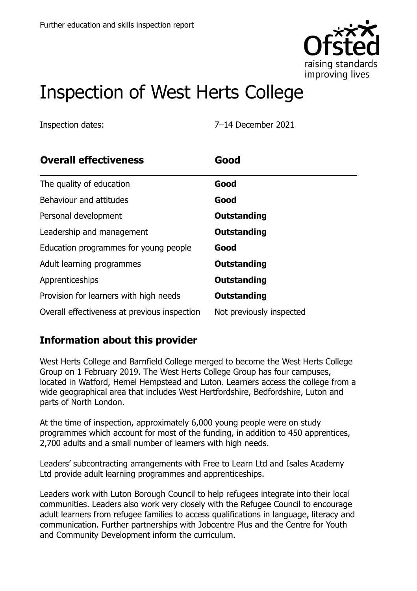

# Inspection of West Herts College

Inspection dates: 7–14 December 2021

| <b>Overall effectiveness</b>                 | Good                     |
|----------------------------------------------|--------------------------|
| The quality of education                     | Good                     |
| Behaviour and attitudes                      | Good                     |
| Personal development                         | Outstanding              |
| Leadership and management                    | Outstanding              |
| Education programmes for young people        | Good                     |
| Adult learning programmes                    | Outstanding              |
| Apprenticeships                              | Outstanding              |
| Provision for learners with high needs       | Outstanding              |
| Overall effectiveness at previous inspection | Not previously inspected |

### **Information about this provider**

West Herts College and Barnfield College merged to become the West Herts College Group on 1 February 2019. The West Herts College Group has four campuses, located in Watford, Hemel Hempstead and Luton. Learners access the college from a wide geographical area that includes West Hertfordshire, Bedfordshire, Luton and parts of North London.

At the time of inspection, approximately 6,000 young people were on study programmes which account for most of the funding, in addition to 450 apprentices, 2,700 adults and a small number of learners with high needs.

Leaders' subcontracting arrangements with Free to Learn Ltd and Isales Academy Ltd provide adult learning programmes and apprenticeships.

Leaders work with Luton Borough Council to help refugees integrate into their local communities. Leaders also work very closely with the Refugee Council to encourage adult learners from refugee families to access qualifications in language, literacy and communication. Further partnerships with Jobcentre Plus and the Centre for Youth and Community Development inform the curriculum.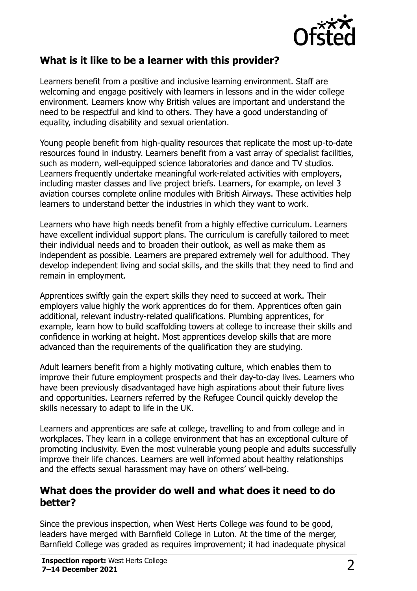

#### **What is it like to be a learner with this provider?**

Learners benefit from a positive and inclusive learning environment. Staff are welcoming and engage positively with learners in lessons and in the wider college environment. Learners know why British values are important and understand the need to be respectful and kind to others. They have a good understanding of equality, including disability and sexual orientation.

Young people benefit from high-quality resources that replicate the most up-to-date resources found in industry. Learners benefit from a vast array of specialist facilities, such as modern, well-equipped science laboratories and dance and TV studios. Learners frequently undertake meaningful work-related activities with employers, including master classes and live project briefs. Learners, for example, on level 3 aviation courses complete online modules with British Airways. These activities help learners to understand better the industries in which they want to work.

Learners who have high needs benefit from a highly effective curriculum. Learners have excellent individual support plans. The curriculum is carefully tailored to meet their individual needs and to broaden their outlook, as well as make them as independent as possible. Learners are prepared extremely well for adulthood. They develop independent living and social skills, and the skills that they need to find and remain in employment.

Apprentices swiftly gain the expert skills they need to succeed at work. Their employers value highly the work apprentices do for them. Apprentices often gain additional, relevant industry-related qualifications. Plumbing apprentices, for example, learn how to build scaffolding towers at college to increase their skills and confidence in working at height. Most apprentices develop skills that are more advanced than the requirements of the qualification they are studying.

Adult learners benefit from a highly motivating culture, which enables them to improve their future employment prospects and their day-to-day lives. Learners who have been previously disadvantaged have high aspirations about their future lives and opportunities. Learners referred by the Refugee Council quickly develop the skills necessary to adapt to life in the UK.

Learners and apprentices are safe at college, travelling to and from college and in workplaces. They learn in a college environment that has an exceptional culture of promoting inclusivity. Even the most vulnerable young people and adults successfully improve their life chances. Learners are well informed about healthy relationships and the effects sexual harassment may have on others' well-being.

#### **What does the provider do well and what does it need to do better?**

Since the previous inspection, when West Herts College was found to be good, leaders have merged with Barnfield College in Luton. At the time of the merger, Barnfield College was graded as requires improvement; it had inadequate physical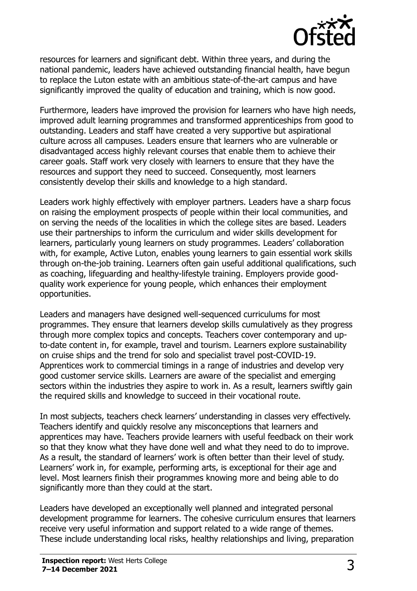

resources for learners and significant debt. Within three years, and during the national pandemic, leaders have achieved outstanding financial health, have begun to replace the Luton estate with an ambitious state-of-the-art campus and have significantly improved the quality of education and training, which is now good.

Furthermore, leaders have improved the provision for learners who have high needs, improved adult learning programmes and transformed apprenticeships from good to outstanding. Leaders and staff have created a very supportive but aspirational culture across all campuses. Leaders ensure that learners who are vulnerable or disadvantaged access highly relevant courses that enable them to achieve their career goals. Staff work very closely with learners to ensure that they have the resources and support they need to succeed. Consequently, most learners consistently develop their skills and knowledge to a high standard.

Leaders work highly effectively with employer partners. Leaders have a sharp focus on raising the employment prospects of people within their local communities, and on serving the needs of the localities in which the college sites are based. Leaders use their partnerships to inform the curriculum and wider skills development for learners, particularly young learners on study programmes. Leaders' collaboration with, for example, Active Luton, enables young learners to gain essential work skills through on-the-job training. Learners often gain useful additional qualifications, such as coaching, lifeguarding and healthy-lifestyle training. Employers provide goodquality work experience for young people, which enhances their employment opportunities.

Leaders and managers have designed well-sequenced curriculums for most programmes. They ensure that learners develop skills cumulatively as they progress through more complex topics and concepts. Teachers cover contemporary and upto-date content in, for example, travel and tourism. Learners explore sustainability on cruise ships and the trend for solo and specialist travel post-COVID-19. Apprentices work to commercial timings in a range of industries and develop very good customer service skills. Learners are aware of the specialist and emerging sectors within the industries they aspire to work in. As a result, learners swiftly gain the required skills and knowledge to succeed in their vocational route.

In most subjects, teachers check learners' understanding in classes very effectively. Teachers identify and quickly resolve any misconceptions that learners and apprentices may have. Teachers provide learners with useful feedback on their work so that they know what they have done well and what they need to do to improve. As a result, the standard of learners' work is often better than their level of study. Learners' work in, for example, performing arts, is exceptional for their age and level. Most learners finish their programmes knowing more and being able to do significantly more than they could at the start.

Leaders have developed an exceptionally well planned and integrated personal development programme for learners. The cohesive curriculum ensures that learners receive very useful information and support related to a wide range of themes. These include understanding local risks, healthy relationships and living, preparation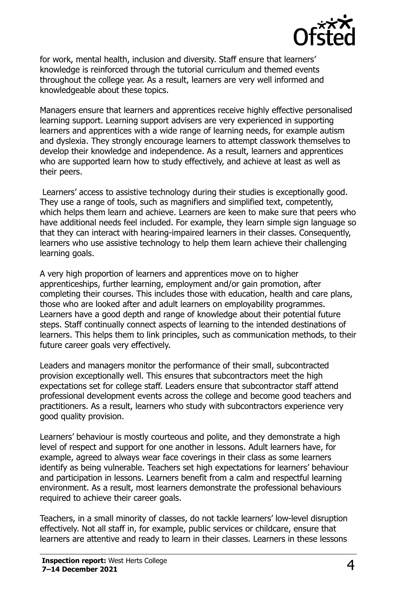

for work, mental health, inclusion and diversity. Staff ensure that learners' knowledge is reinforced through the tutorial curriculum and themed events throughout the college year. As a result, learners are very well informed and knowledgeable about these topics.

Managers ensure that learners and apprentices receive highly effective personalised learning support. Learning support advisers are very experienced in supporting learners and apprentices with a wide range of learning needs, for example autism and dyslexia. They strongly encourage learners to attempt classwork themselves to develop their knowledge and independence. As a result, learners and apprentices who are supported learn how to study effectively, and achieve at least as well as their peers.

Learners' access to assistive technology during their studies is exceptionally good. They use a range of tools, such as magnifiers and simplified text, competently, which helps them learn and achieve. Learners are keen to make sure that peers who have additional needs feel included. For example, they learn simple sign language so that they can interact with hearing-impaired learners in their classes. Consequently, learners who use assistive technology to help them learn achieve their challenging learning goals.

A very high proportion of learners and apprentices move on to higher apprenticeships, further learning, employment and/or gain promotion, after completing their courses. This includes those with education, health and care plans, those who are looked after and adult learners on employability programmes. Learners have a good depth and range of knowledge about their potential future steps. Staff continually connect aspects of learning to the intended destinations of learners. This helps them to link principles, such as communication methods, to their future career goals very effectively.

Leaders and managers monitor the performance of their small, subcontracted provision exceptionally well. This ensures that subcontractors meet the high expectations set for college staff. Leaders ensure that subcontractor staff attend professional development events across the college and become good teachers and practitioners. As a result, learners who study with subcontractors experience very good quality provision.

Learners' behaviour is mostly courteous and polite, and they demonstrate a high level of respect and support for one another in lessons. Adult learners have, for example, agreed to always wear face coverings in their class as some learners identify as being vulnerable. Teachers set high expectations for learners' behaviour and participation in lessons. Learners benefit from a calm and respectful learning environment. As a result, most learners demonstrate the professional behaviours required to achieve their career goals.

Teachers, in a small minority of classes, do not tackle learners' low-level disruption effectively. Not all staff in, for example, public services or childcare, ensure that learners are attentive and ready to learn in their classes. Learners in these lessons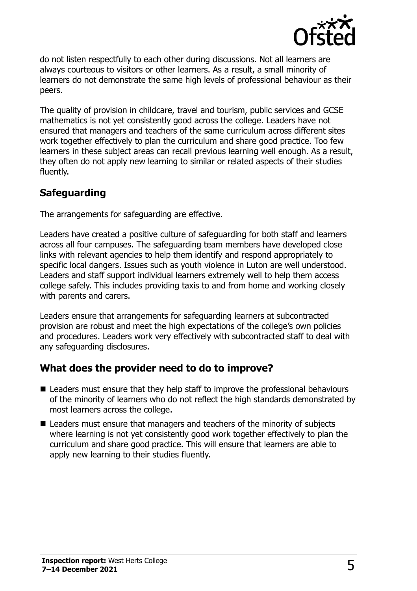

do not listen respectfully to each other during discussions. Not all learners are always courteous to visitors or other learners. As a result, a small minority of learners do not demonstrate the same high levels of professional behaviour as their peers.

The quality of provision in childcare, travel and tourism, public services and GCSE mathematics is not yet consistently good across the college. Leaders have not ensured that managers and teachers of the same curriculum across different sites work together effectively to plan the curriculum and share good practice. Too few learners in these subject areas can recall previous learning well enough. As a result, they often do not apply new learning to similar or related aspects of their studies fluently.

### **Safeguarding**

The arrangements for safeguarding are effective.

Leaders have created a positive culture of safeguarding for both staff and learners across all four campuses. The safeguarding team members have developed close links with relevant agencies to help them identify and respond appropriately to specific local dangers. Issues such as youth violence in Luton are well understood. Leaders and staff support individual learners extremely well to help them access college safely. This includes providing taxis to and from home and working closely with parents and carers.

Leaders ensure that arrangements for safeguarding learners at subcontracted provision are robust and meet the high expectations of the college's own policies and procedures. Leaders work very effectively with subcontracted staff to deal with any safeguarding disclosures.

### **What does the provider need to do to improve?**

- Leaders must ensure that they help staff to improve the professional behaviours of the minority of learners who do not reflect the high standards demonstrated by most learners across the college.
- Leaders must ensure that managers and teachers of the minority of subjects where learning is not yet consistently good work together effectively to plan the curriculum and share good practice. This will ensure that learners are able to apply new learning to their studies fluently.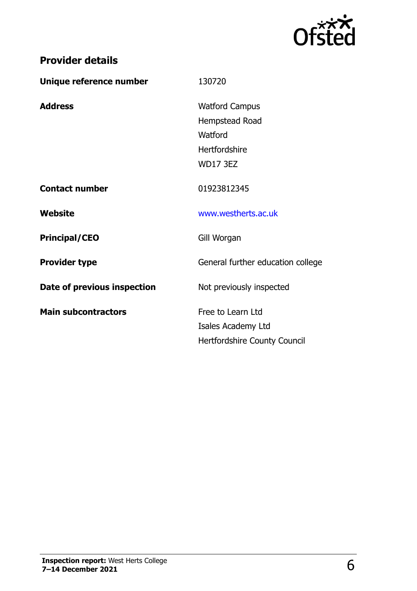

| Unique reference number     | 130720                            |
|-----------------------------|-----------------------------------|
| <b>Address</b>              | <b>Watford Campus</b>             |
|                             | Hempstead Road                    |
|                             | Watford                           |
|                             | Hertfordshire                     |
|                             | <b>WD17 3EZ</b>                   |
| <b>Contact number</b>       | 01923812345                       |
| Website                     | www.westherts.ac.uk               |
| <b>Principal/CEO</b>        | Gill Worgan                       |
| <b>Provider type</b>        | General further education college |
| Date of previous inspection | Not previously inspected          |
| <b>Main subcontractors</b>  | Free to Learn Ltd                 |
|                             | Isales Academy Ltd                |
|                             | Hertfordshire County Council      |

**Provider details**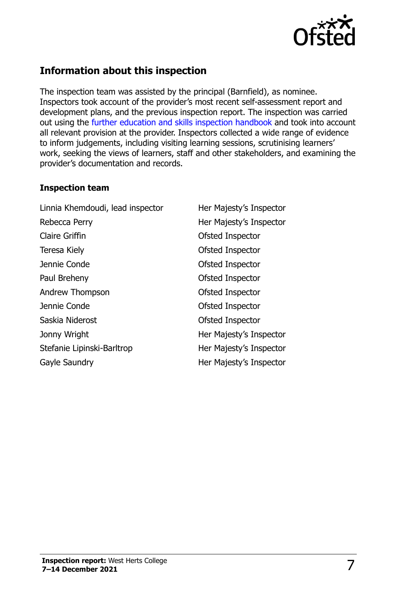

## **Information about this inspection**

The inspection team was assisted by the principal (Barnfield), as nominee. Inspectors took account of the provider's most recent self-assessment report and development plans, and the previous inspection report. The inspection was carried out using the [further education and skills inspection handbook](http://www.gov.uk/government/publications/further-education-and-skills-inspection-handbook-eif) and took into account all relevant provision at the provider. Inspectors collected a wide range of evidence to inform judgements, including visiting learning sessions, scrutinising learners' work, seeking the views of learners, staff and other stakeholders, and examining the provider's documentation and records.

#### **Inspection team**

| Linnia Khemdoudi, lead inspector | Her Majesty's Inspector |
|----------------------------------|-------------------------|
| Rebecca Perry                    | Her Majesty's Inspector |
| <b>Claire Griffin</b>            | Ofsted Inspector        |
| Teresa Kiely                     | Ofsted Inspector        |
| Jennie Conde                     | Ofsted Inspector        |
| Paul Breheny                     | Ofsted Inspector        |
| Andrew Thompson                  | Ofsted Inspector        |
| Jennie Conde                     | Ofsted Inspector        |
| Saskia Niderost                  | <b>Ofsted Inspector</b> |
| Jonny Wright                     | Her Majesty's Inspector |
| Stefanie Lipinski-Barltrop       | Her Majesty's Inspector |
| Gayle Saundry                    | Her Majesty's Inspector |
|                                  |                         |